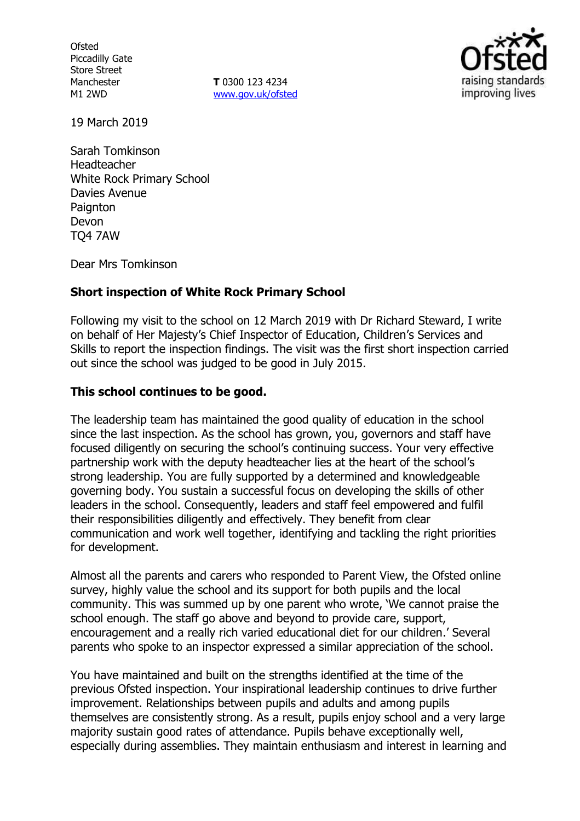**Ofsted** Piccadilly Gate Store Street Manchester M1 2WD

**T** 0300 123 4234 www.gov.uk/ofsted



19 March 2019

Sarah Tomkinson Headteacher White Rock Primary School Davies Avenue **Paignton** Devon TQ4 7AW

Dear Mrs Tomkinson

## **Short inspection of White Rock Primary School**

Following my visit to the school on 12 March 2019 with Dr Richard Steward, I write on behalf of Her Majesty's Chief Inspector of Education, Children's Services and Skills to report the inspection findings. The visit was the first short inspection carried out since the school was judged to be good in July 2015.

### **This school continues to be good.**

The leadership team has maintained the good quality of education in the school since the last inspection. As the school has grown, you, governors and staff have focused diligently on securing the school's continuing success. Your very effective partnership work with the deputy headteacher lies at the heart of the school's strong leadership. You are fully supported by a determined and knowledgeable governing body. You sustain a successful focus on developing the skills of other leaders in the school. Consequently, leaders and staff feel empowered and fulfil their responsibilities diligently and effectively. They benefit from clear communication and work well together, identifying and tackling the right priorities for development.

Almost all the parents and carers who responded to Parent View, the Ofsted online survey, highly value the school and its support for both pupils and the local community. This was summed up by one parent who wrote, 'We cannot praise the school enough. The staff go above and beyond to provide care, support, encouragement and a really rich varied educational diet for our children.' Several parents who spoke to an inspector expressed a similar appreciation of the school.

You have maintained and built on the strengths identified at the time of the previous Ofsted inspection. Your inspirational leadership continues to drive further improvement. Relationships between pupils and adults and among pupils themselves are consistently strong. As a result, pupils enjoy school and a very large majority sustain good rates of attendance. Pupils behave exceptionally well, especially during assemblies. They maintain enthusiasm and interest in learning and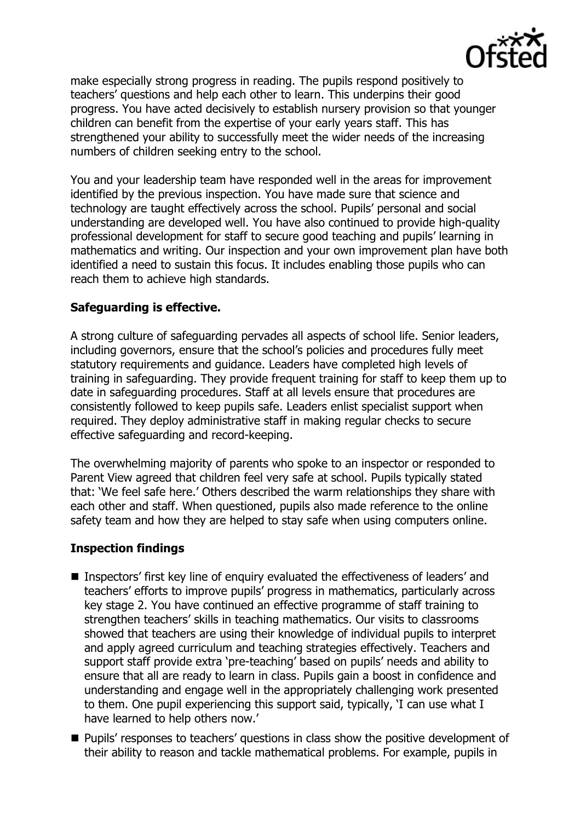

make especially strong progress in reading. The pupils respond positively to teachers' questions and help each other to learn. This underpins their good progress. You have acted decisively to establish nursery provision so that younger children can benefit from the expertise of your early years staff. This has strengthened your ability to successfully meet the wider needs of the increasing numbers of children seeking entry to the school.

You and your leadership team have responded well in the areas for improvement identified by the previous inspection. You have made sure that science and technology are taught effectively across the school. Pupils' personal and social understanding are developed well. You have also continued to provide high-quality professional development for staff to secure good teaching and pupils' learning in mathematics and writing. Our inspection and your own improvement plan have both identified a need to sustain this focus. It includes enabling those pupils who can reach them to achieve high standards.

# **Safeguarding is effective.**

A strong culture of safeguarding pervades all aspects of school life. Senior leaders, including governors, ensure that the school's policies and procedures fully meet statutory requirements and guidance. Leaders have completed high levels of training in safeguarding. They provide frequent training for staff to keep them up to date in safeguarding procedures. Staff at all levels ensure that procedures are consistently followed to keep pupils safe. Leaders enlist specialist support when required. They deploy administrative staff in making regular checks to secure effective safeguarding and record-keeping.

The overwhelming majority of parents who spoke to an inspector or responded to Parent View agreed that children feel very safe at school. Pupils typically stated that: 'We feel safe here.' Others described the warm relationships they share with each other and staff. When questioned, pupils also made reference to the online safety team and how they are helped to stay safe when using computers online.

## **Inspection findings**

- Inspectors' first key line of enquiry evaluated the effectiveness of leaders' and teachers' efforts to improve pupils' progress in mathematics, particularly across key stage 2. You have continued an effective programme of staff training to strengthen teachers' skills in teaching mathematics. Our visits to classrooms showed that teachers are using their knowledge of individual pupils to interpret and apply agreed curriculum and teaching strategies effectively. Teachers and support staff provide extra 'pre-teaching' based on pupils' needs and ability to ensure that all are ready to learn in class. Pupils gain a boost in confidence and understanding and engage well in the appropriately challenging work presented to them. One pupil experiencing this support said, typically, 'I can use what I have learned to help others now.'
- **Pupils' responses to teachers' questions in class show the positive development of** their ability to reason and tackle mathematical problems. For example, pupils in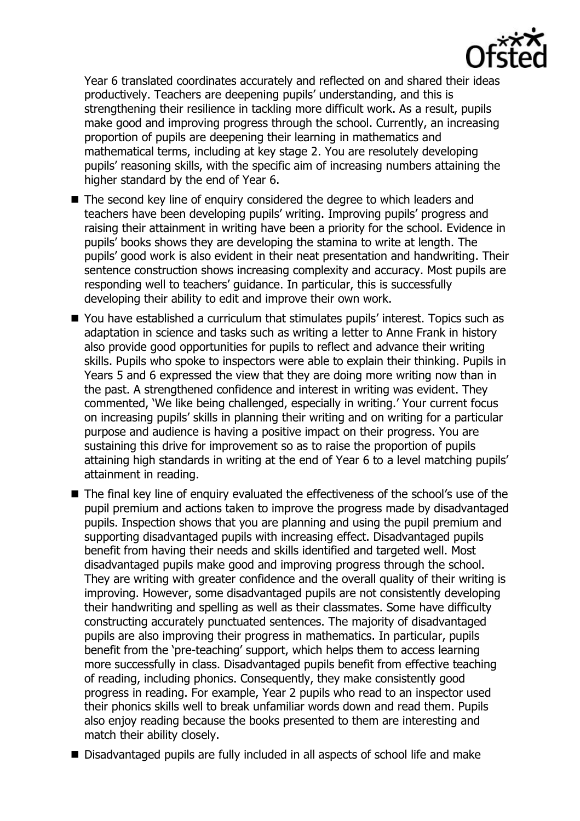

Year 6 translated coordinates accurately and reflected on and shared their ideas productively. Teachers are deepening pupils' understanding, and this is strengthening their resilience in tackling more difficult work. As a result, pupils make good and improving progress through the school. Currently, an increasing proportion of pupils are deepening their learning in mathematics and mathematical terms, including at key stage 2. You are resolutely developing pupils' reasoning skills, with the specific aim of increasing numbers attaining the higher standard by the end of Year 6.

- The second key line of enquiry considered the degree to which leaders and teachers have been developing pupils' writing. Improving pupils' progress and raising their attainment in writing have been a priority for the school. Evidence in pupils' books shows they are developing the stamina to write at length. The pupils' good work is also evident in their neat presentation and handwriting. Their sentence construction shows increasing complexity and accuracy. Most pupils are responding well to teachers' guidance. In particular, this is successfully developing their ability to edit and improve their own work.
- You have established a curriculum that stimulates pupils' interest. Topics such as adaptation in science and tasks such as writing a letter to Anne Frank in history also provide good opportunities for pupils to reflect and advance their writing skills. Pupils who spoke to inspectors were able to explain their thinking. Pupils in Years 5 and 6 expressed the view that they are doing more writing now than in the past. A strengthened confidence and interest in writing was evident. They commented, 'We like being challenged, especially in writing.' Your current focus on increasing pupils' skills in planning their writing and on writing for a particular purpose and audience is having a positive impact on their progress. You are sustaining this drive for improvement so as to raise the proportion of pupils attaining high standards in writing at the end of Year 6 to a level matching pupils' attainment in reading.
- The final key line of enguiry evaluated the effectiveness of the school's use of the pupil premium and actions taken to improve the progress made by disadvantaged pupils. Inspection shows that you are planning and using the pupil premium and supporting disadvantaged pupils with increasing effect. Disadvantaged pupils benefit from having their needs and skills identified and targeted well. Most disadvantaged pupils make good and improving progress through the school. They are writing with greater confidence and the overall quality of their writing is improving. However, some disadvantaged pupils are not consistently developing their handwriting and spelling as well as their classmates. Some have difficulty constructing accurately punctuated sentences. The majority of disadvantaged pupils are also improving their progress in mathematics. In particular, pupils benefit from the 'pre-teaching' support, which helps them to access learning more successfully in class. Disadvantaged pupils benefit from effective teaching of reading, including phonics. Consequently, they make consistently good progress in reading. For example, Year 2 pupils who read to an inspector used their phonics skills well to break unfamiliar words down and read them. Pupils also enjoy reading because the books presented to them are interesting and match their ability closely.
- Disadvantaged pupils are fully included in all aspects of school life and make